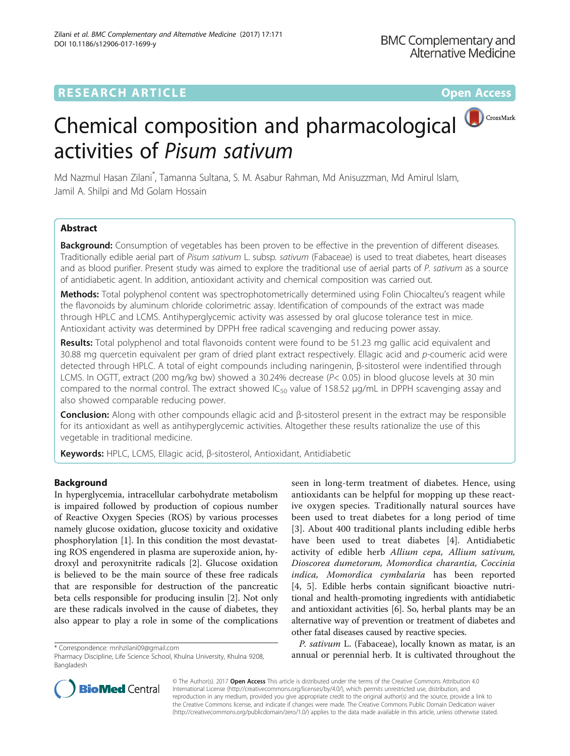# **RESEARCH ARTICLE Example 2018 12:00 Department of the Contract Open Access**



Md Nazmul Hasan Zilani\* , Tamanna Sultana, S. M. Asabur Rahman, Md Anisuzzman, Md Amirul Islam, Jamil A. Shilpi and Md Golam Hossain

# Abstract

Background: Consumption of vegetables has been proven to be effective in the prevention of different diseases. Traditionally edible aerial part of Pisum sativum L. subsp. sativum (Fabaceae) is used to treat diabetes, heart diseases and as blood purifier. Present study was aimed to explore the traditional use of aerial parts of P. sativum as a source of antidiabetic agent. In addition, antioxidant activity and chemical composition was carried out.

Methods: Total polyphenol content was spectrophotometrically determined using Folin Chiocalteu's reagent while the flavonoids by aluminum chloride colorimetric assay. Identification of compounds of the extract was made through HPLC and LCMS. Antihyperglycemic activity was assessed by oral glucose tolerance test in mice. Antioxidant activity was determined by DPPH free radical scavenging and reducing power assay.

Results: Total polyphenol and total flavonoids content were found to be 51.23 mg gallic acid equivalent and 30.88 mg quercetin equivalent per gram of dried plant extract respectively. Ellagic acid and p-coumeric acid were detected through HPLC. A total of eight compounds including naringenin, β-sitosterol were indentified through LCMS. In OGTT, extract (200 mg/kg bw) showed a 30.24% decrease (P< 0.05) in blood glucose levels at 30 min compared to the normal control. The extract showed  $IC_{50}$  value of 158.52  $\mu$ g/mL in DPPH scavenging assay and also showed comparable reducing power.

Conclusion: Along with other compounds ellagic acid and β-sitosterol present in the extract may be responsible for its antioxidant as well as antihyperglycemic activities. Altogether these results rationalize the use of this vegetable in traditional medicine.

Keywords: HPLC, LCMS, Ellagic acid, β-sitosterol, Antioxidant, Antidiabetic

# Background

In hyperglycemia, intracellular carbohydrate metabolism is impaired followed by production of copious number of Reactive Oxygen Species (ROS) by various processes namely glucose oxidation, glucose toxicity and oxidative phosphorylation [\[1](#page-7-0)]. In this condition the most devastating ROS engendered in plasma are superoxide anion, hydroxyl and peroxynitrite radicals [[2\]](#page-7-0). Glucose oxidation is believed to be the main source of these free radicals that are responsible for destruction of the pancreatic beta cells responsible for producing insulin [[2\]](#page-7-0). Not only are these radicals involved in the cause of diabetes, they also appear to play a role in some of the complications

seen in long-term treatment of diabetes. Hence, using antioxidants can be helpful for mopping up these reactive oxygen species. Traditionally natural sources have been used to treat diabetes for a long period of time [[3\]](#page-7-0). About 400 traditional plants including edible herbs have been used to treat diabetes [[4](#page-7-0)]. Antidiabetic activity of edible herb Allium cepa, Allium sativum, Dioscorea dumetorum, Momordica charantia, Coccinia indica, Momordica cymbalaria has been reported [[4, 5\]](#page-7-0). Edible herbs contain significant bioactive nutritional and health-promoting ingredients with antidiabetic and antioxidant activities [\[6](#page-7-0)]. So, herbal plants may be an alternative way of prevention or treatment of diabetes and other fatal diseases caused by reactive species.

P. sativum L. (Fabaceae), locally known as matar, is an and or perespondence: [mnhzilani09@gmail.com](mailto:mnhzilani09@gmail.com)<br>Pharmacy Discipline, Life Science School, Khulna University, Khulna 9208, **annual or perennial herb. It is cultivated throughout the** 



© The Author(s). 2017 **Open Access** This article is distributed under the terms of the Creative Commons Attribution 4.0 International License [\(http://creativecommons.org/licenses/by/4.0/](http://creativecommons.org/licenses/by/4.0/)), which permits unrestricted use, distribution, and reproduction in any medium, provided you give appropriate credit to the original author(s) and the source, provide a link to the Creative Commons license, and indicate if changes were made. The Creative Commons Public Domain Dedication waiver [\(http://creativecommons.org/publicdomain/zero/1.0/](http://creativecommons.org/publicdomain/zero/1.0/)) applies to the data made available in this article, unless otherwise stated.

Pharmacy Discipline, Life Science School, Khulna University, Khulna 9208, Bangladesh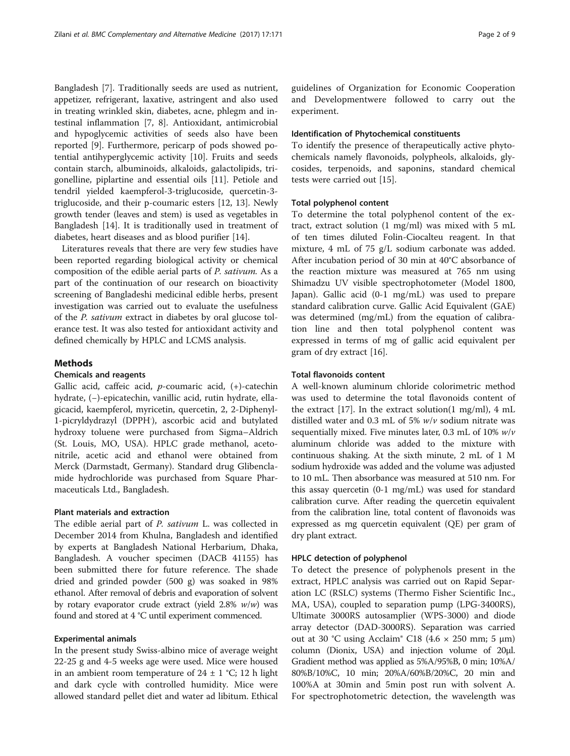Bangladesh [[7\]](#page-7-0). Traditionally seeds are used as nutrient, appetizer, refrigerant, laxative, astringent and also used in treating wrinkled skin, diabetes, acne, phlegm and intestinal inflammation [[7, 8](#page-7-0)]. Antioxidant, antimicrobial and hypoglycemic activities of seeds also have been reported [\[9](#page-7-0)]. Furthermore, pericarp of pods showed potential antihyperglycemic activity [[10\]](#page-7-0). Fruits and seeds contain starch, albuminoids, alkaloids, galactolipids, trigonelline, piplartine and essential oils [[11\]](#page-7-0). Petiole and tendril yielded kaempferol-3-triglucoside, quercetin-3 triglucoside, and their p-coumaric esters [[12, 13](#page-7-0)]. Newly growth tender (leaves and stem) is used as vegetables in Bangladesh [\[14\]](#page-7-0). It is traditionally used in treatment of diabetes, heart diseases and as blood purifier [[14\]](#page-7-0).

Literatures reveals that there are very few studies have been reported regarding biological activity or chemical composition of the edible aerial parts of P. sativum. As a part of the continuation of our research on bioactivity screening of Bangladeshi medicinal edible herbs, present investigation was carried out to evaluate the usefulness of the P. sativum extract in diabetes by oral glucose tolerance test. It was also tested for antioxidant activity and defined chemically by HPLC and LCMS analysis.

#### Methods

#### Chemicals and reagents

Gallic acid, caffeic acid, p-coumaric acid, (+)-catechin hydrate, (−)-epicatechin, vanillic acid, rutin hydrate, ellagicacid, kaempferol, myricetin, quercetin, 2, 2-Diphenyl-1-picryldydrazyl (DPPH. ), ascorbic acid and butylated hydroxy toluene were purchased from Sigma–Aldrich (St. Louis, MO, USA). HPLC grade methanol, acetonitrile, acetic acid and ethanol were obtained from Merck (Darmstadt, Germany). Standard drug Glibenclamide hydrochloride was purchased from Square Pharmaceuticals Ltd., Bangladesh.

## Plant materials and extraction

The edible aerial part of P. sativum L. was collected in December 2014 from Khulna, Bangladesh and identified by experts at Bangladesh National Herbarium, Dhaka, Bangladesh. A voucher specimen (DACB 41155) has been submitted there for future reference. The shade dried and grinded powder (500 g) was soaked in 98% ethanol. After removal of debris and evaporation of solvent by rotary evaporator crude extract (yield  $2.8\%$   $w/w$ ) was found and stored at 4 °C until experiment commenced.

### Experimental animals

In the present study Swiss-albino mice of average weight 22-25 g and 4-5 weeks age were used. Mice were housed in an ambient room temperature of  $24 \pm 1$  °C; 12 h light and dark cycle with controlled humidity. Mice were allowed standard pellet diet and water ad libitum. Ethical guidelines of Organization for Economic Cooperation and Developmentwere followed to carry out the experiment.

### Identification of Phytochemical constituents

To identify the presence of therapeutically active phytochemicals namely flavonoids, polypheols, alkaloids, glycosides, terpenoids, and saponins, standard chemical tests were carried out [\[15](#page-7-0)].

#### Total polyphenol content

To determine the total polyphenol content of the extract, extract solution (1 mg/ml) was mixed with 5 mL of ten times diluted Folin-Ciocalteu reagent. In that mixture, 4 mL of 75 g/L sodium carbonate was added. After incubation period of 30 min at 40°C absorbance of the reaction mixture was measured at 765 nm using Shimadzu UV visible spectrophotometer (Model 1800, Japan). Gallic acid (0-1 mg/mL) was used to prepare standard calibration curve. Gallic Acid Equivalent (GAE) was determined (mg/mL) from the equation of calibration line and then total polyphenol content was expressed in terms of mg of gallic acid equivalent per gram of dry extract [[16\]](#page-7-0).

### Total flavonoids content

A well-known aluminum chloride colorimetric method was used to determine the total flavonoids content of the extract  $[17]$ . In the extract solution $(1 \text{ mg/ml})$ , 4 mL distilled water and 0.3 mL of 5%  $w/v$  sodium nitrate was sequentially mixed. Five minutes later, 0.3 mL of 10%  $w/v$ aluminum chloride was added to the mixture with continuous shaking. At the sixth minute, 2 mL of 1 M sodium hydroxide was added and the volume was adjusted to 10 mL. Then absorbance was measured at 510 nm. For this assay quercetin (0-1 mg/mL) was used for standard calibration curve. After reading the quercetin equivalent from the calibration line, total content of flavonoids was expressed as mg quercetin equivalent (QE) per gram of dry plant extract.

### HPLC detection of polyphenol

To detect the presence of polyphenols present in the extract, HPLC analysis was carried out on Rapid Separation LC (RSLC) systems (Thermo Fisher Scientific Inc., MA, USA), coupled to separation pump (LPG-3400RS), Ultimate 3000RS autosamplier (WPS-3000) and diode array detector (DAD-3000RS). Separation was carried out at 30 °C using Acclaim<sup>®</sup> C18 (4.6  $\times$  250 mm; 5 μm) column (Dionix, USA) and injection volume of 20μl. Gradient method was applied as 5%A/95%B, 0 min; 10%A/ 80%B/10%C, 10 min; 20%A/60%B/20%C, 20 min and 100%A at 30min and 5min post run with solvent A. For spectrophotometric detection, the wavelength was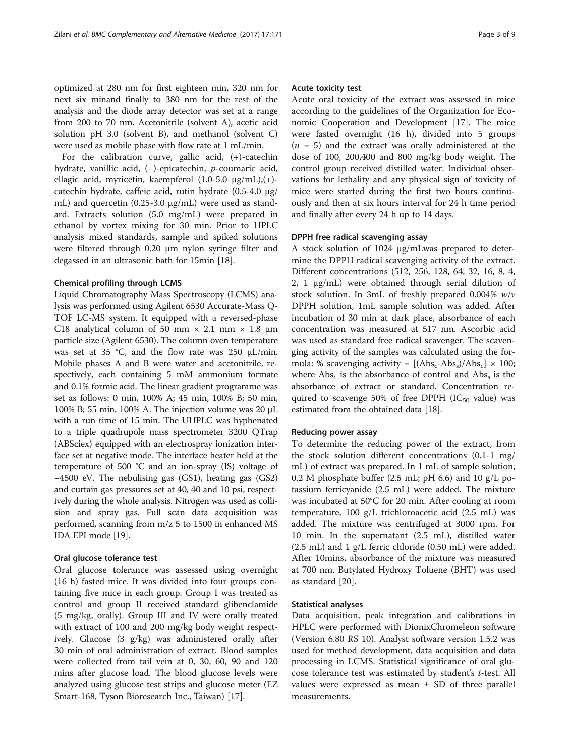optimized at 280 nm for first eighteen min, 320 nm for next six minand finally to 380 nm for the rest of the analysis and the diode array detector was set at a range from 200 to 70 nm. Acetonitrile (solvent A), acetic acid solution pH 3.0 (solvent B), and methanol (solvent C) were used as mobile phase with flow rate at 1 mL/min.

For the calibration curve, gallic acid, (+)-catechin hydrate, vanillic acid, (−)-epicatechin, p-coumaric acid, ellagic acid, myricetin, kaempferol (1.0-5.0 μg/mL);(+) catechin hydrate, caffeic acid, rutin hydrate (0.5-4.0 μg/ mL) and quercetin (0.25-3.0 μg/mL) were used as standard. Extracts solution (5.0 mg/mL) were prepared in ethanol by vortex mixing for 30 min. Prior to HPLC analysis mixed standards, sample and spiked solutions were filtered through 0.20 μm nylon syringe filter and degassed in an ultrasonic bath for 15min [\[18](#page-7-0)].

#### Chemical profiling through LCMS

Liquid Chromatography Mass Spectroscopy (LCMS) analysis was performed using Agilent 6530 Accurate-Mass Q-TOF LC-MS system. It equipped with a reversed-phase C18 analytical column of 50 mm  $\times$  2.1 mm  $\times$  1.8 µm particle size (Agilent 6530). The column oven temperature was set at 35 °C, and the flow rate was 250 μL/min. Mobile phases A and B were water and acetonitrile, respectively, each containing 5 mM ammonium formate and 0.1% formic acid. The linear gradient programme was set as follows: 0 min, 100% A; 45 min, 100% B; 50 min, 100% B; 55 min, 100% A. The injection volume was 20 μL with a run time of 15 min. The UHPLC was hyphenated to a triple quadrupole mass spectrometer 3200 QTrap (ABSciex) equipped with an electrospray ionization interface set at negative mode. The interface heater held at the temperature of 500 °C and an ion-spray (IS) voltage of −4500 eV. The nebulising gas (GS1), heating gas (GS2) and curtain gas pressures set at 40, 40 and 10 psi, respectively during the whole analysis. Nitrogen was used as collision and spray gas. Full scan data acquisition was performed, scanning from m/z 5 to 1500 in enhanced MS IDA EPI mode [\[19\]](#page-7-0).

#### Oral glucose tolerance test

Oral glucose tolerance was assessed using overnight (16 h) fasted mice. It was divided into four groups containing five mice in each group. Group I was treated as control and group II received standard glibenclamide (5 mg/kg, orally). Group III and IV were orally treated with extract of 100 and 200 mg/kg body weight respectively. Glucose (3 g/kg) was administered orally after 30 min of oral administration of extract. Blood samples were collected from tail vein at 0, 30, 60, 90 and 120 mins after glucose load. The blood glucose levels were analyzed using glucose test strips and glucose meter (EZ Smart-168, Tyson Bioresearch Inc., Taiwan) [[17\]](#page-7-0).

#### Acute toxicity test

Acute oral toxicity of the extract was assessed in mice according to the guidelines of the Organization for Economic Cooperation and Development [[17](#page-7-0)]. The mice were fasted overnight (16 h), divided into 5 groups  $(n = 5)$  and the extract was orally administered at the dose of 100, 200,400 and 800 mg/kg body weight. The control group received distilled water. Individual observations for lethality and any physical sign of toxicity of mice were started during the first two hours continuously and then at six hours interval for 24 h time period and finally after every 24 h up to 14 days.

#### DPPH free radical scavenging assay

A stock solution of 1024 μg/mLwas prepared to determine the DPPH radical scavenging activity of the extract. Different concentrations (512, 256, 128, 64, 32, 16, 8, 4, 2, 1 μg/mL) were obtained through serial dilution of stock solution. In 3mL of freshly prepared 0.004%  $w/v$ DPPH solution, 1mL sample solution was added. After incubation of 30 min at dark place, absorbance of each concentration was measured at 517 nm. Ascorbic acid was used as standard free radical scavenger. The scavenging activity of the samples was calculated using the formula: % scavenging activity =  $[(Abs_c-Abs_s)/Abs_c] \times 100;$ where  $\text{Abs}_c$  is the absorbance of control and  $\text{Abs}_s$  is the absorbance of extract or standard. Concentration required to scavenge 50% of free DPPH ( $IC_{50}$  value) was estimated from the obtained data [\[18\]](#page-7-0).

#### Reducing power assay

To determine the reducing power of the extract, from the stock solution different concentrations (0.1-1 mg/ mL) of extract was prepared. In 1 mL of sample solution, 0.2 M phosphate buffer (2.5 mL; pH 6.6) and 10  $g/L$  potassium ferricyanide (2.5 mL) were added. The mixture was incubated at 50°C for 20 min. After cooling at room temperature, 100 g/L trichloroacetic acid (2.5 mL) was added. The mixture was centrifuged at 3000 rpm. For 10 min. In the supernatant (2.5 mL), distilled water (2.5 mL) and 1 g/L ferric chloride (0.50 mL) were added. After 10mins, absorbance of the mixture was measured at 700 nm. Butylated Hydroxy Toluene (BHT) was used as standard [\[20](#page-7-0)].

### Statistical analyses

Data acquisition, peak integration and calibrations in HPLC were performed with DionixChromeleon software (Version 6.80 RS 10). Analyst software version 1.5.2 was used for method development, data acquisition and data processing in LCMS. Statistical significance of oral glucose tolerance test was estimated by student's t-test. All values were expressed as mean  $\pm$  SD of three parallel measurements.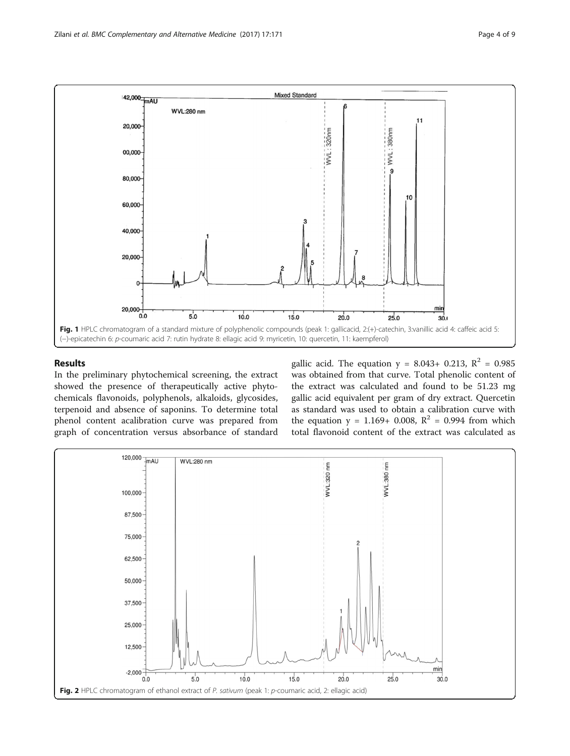<span id="page-3-0"></span>

### Results

In the preliminary phytochemical screening, the extract showed the presence of therapeutically active phytochemicals flavonoids, polyphenols, alkaloids, glycosides, terpenoid and absence of saponins. To determine total phenol content acalibration curve was prepared from graph of concentration versus absorbance of standard gallic acid. The equation  $y = 8.043 + 0.213$ ,  $R^2 = 0.985$ was obtained from that curve. Total phenolic content of the extract was calculated and found to be 51.23 mg gallic acid equivalent per gram of dry extract. Quercetin as standard was used to obtain a calibration curve with the equation  $y = 1.169 + 0.008$ ,  $R^2 = 0.994$  from which total flavonoid content of the extract was calculated as

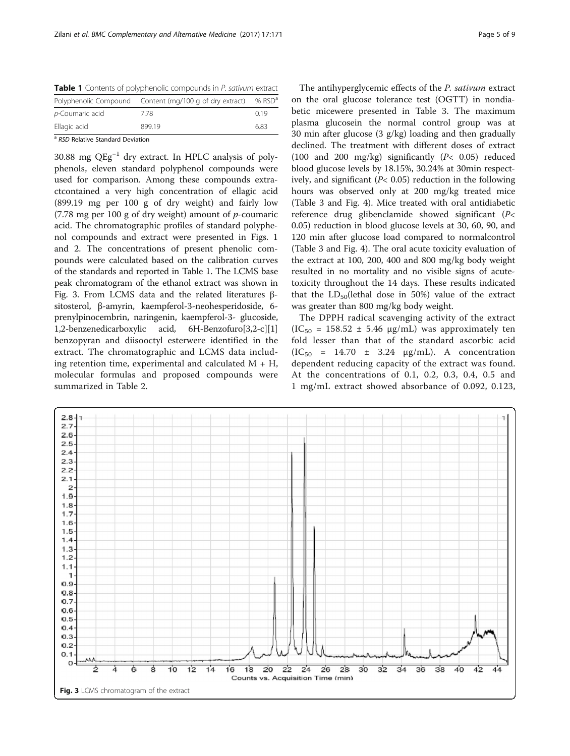Table 1 Contents of polyphenolic compounds in P. sativum extract

| Ellagic acid    | 89919                                                   | 6.83     |  |  |  |  |  |
|-----------------|---------------------------------------------------------|----------|--|--|--|--|--|
| p-Coumaric acid | 778                                                     | 0.19     |  |  |  |  |  |
|                 | Polyphenolic Compound Content (mg/100 g of dry extract) | % $RSDa$ |  |  |  |  |  |

<sup>a</sup> RSD Relative Standard Deviation

30.88 mg QEg−<sup>1</sup> dry extract. In HPLC analysis of polyphenols, eleven standard polyphenol compounds were used for comparison. Among these compounds extractcontained a very high concentration of ellagic acid (899.19 mg per 100 g of dry weight) and fairly low (7.78 mg per 100 g of dry weight) amount of  $p$ -coumaric acid. The chromatographic profiles of standard polyphenol compounds and extract were presented in Figs. [1](#page-3-0) and [2](#page-3-0). The concentrations of present phenolic compounds were calculated based on the calibration curves of the standards and reported in Table 1. The LCMS base peak chromatogram of the ethanol extract was shown in Fig. 3. From LCMS data and the related literatures βsitosterol, β-amyrin, kaempferol-3-neohesperidoside, 6 prenylpinocembrin, naringenin, kaempferol-3- glucoside, 1,2-benzenedicarboxylic acid, 6H-Benzofuro[3,2-c][1] benzopyran and diisooctyl esterwere identified in the extract. The chromatographic and LCMS data including retention time, experimental and calculated  $M + H$ , molecular formulas and proposed compounds were summarized in Table [2](#page-5-0).

The antihyperglycemic effects of the P. sativum extract on the oral glucose tolerance test (OGTT) in nondiabetic micewere presented in Table [3.](#page-5-0) The maximum plasma glucosein the normal control group was at 30 min after glucose (3 g/kg) loading and then gradually declined. The treatment with different doses of extract (100 and 200 mg/kg) significantly (P< 0.05) reduced blood glucose levels by 18.15%, 30.24% at 30min respectively, and significant ( $P$ < 0.05) reduction in the following hours was observed only at 200 mg/kg treated mice (Table [3](#page-5-0) and Fig. [4\)](#page-6-0). Mice treated with oral antidiabetic reference drug glibenclamide showed significant (P< 0.05) reduction in blood glucose levels at 30, 60, 90, and 120 min after glucose load compared to normalcontrol (Table [3](#page-5-0) and Fig. [4\)](#page-6-0). The oral acute toxicity evaluation of the extract at 100, 200, 400 and 800 mg/kg body weight resulted in no mortality and no visible signs of acutetoxicity throughout the 14 days. These results indicated that the  $LD_{50}$ (lethal dose in 50%) value of the extract was greater than 800 mg/kg body weight.

The DPPH radical scavenging activity of the extract  $(IC_{50} = 158.52 \pm 5.46 \mu g/mL)$  was approximately ten fold lesser than that of the standard ascorbic acid  $(IC_{50} = 14.70 \pm 3.24 \mu g/mL)$ . A concentration dependent reducing capacity of the extract was found. At the concentrations of 0.1, 0.2, 0.3, 0.4, 0.5 and 1 mg/mL extract showed absorbance of 0.092, 0.123,

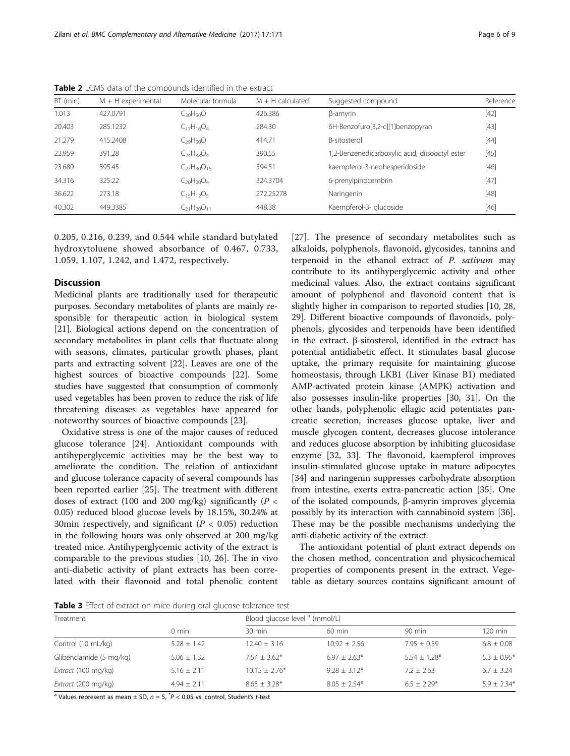| RT (min) | $M + H$ experimental | Molecular formula    | $M + H$ calculated | Suggested compound                             | Reference |
|----------|----------------------|----------------------|--------------------|------------------------------------------------|-----------|
| 1.013    | 427.0791             | $C_{30}H_{50}O$      | 426.386            | β-amγrin                                       | $[42]$    |
| 20.403   | 285.1232             | $C_{17}H_{16}O_4$    | 284.30             | 6H-Benzofuro[3,2-c][1]benzopyran               | $[43]$    |
| 21.279   | 415.2408             | $C_{29}H_{50}O$      | 414.71             | B-sitosterol                                   | $[44]$    |
| 22.959   | 391.28               | $C_{24}H_{38}O_4$    | 390.55             | 1,2-Benzenedicarboxylic acid, diisooctyl ester | $[45]$    |
| 23.680   | 595.45               | $C_{27}H_{30}O_{15}$ | 594.51             | kaempferol-3-neohesperidoside                  | $[46]$    |
| 34.316   | 325.22               | $C_{20}H_{20}O_4$    | 324.3704           | 6-prenylpinocembrin                            | $[47]$    |
| 36.622   | 273.18               | $C_{15}H_{12}O_5$    | 272.25278          | Naringenin                                     | $[48]$    |
| 40.302   | 449.3385             | $C_{21}H_{20}O_{11}$ | 448.38             | Kaempferol-3- glucoside                        | $[46]$    |

<span id="page-5-0"></span>Table 2 LCMS data of the compounds identified in the extract

0.205, 0.216, 0.239, and 0.544 while standard butylated hydroxytoluene showed absorbance of 0.467, 0.733, 1.059, 1.107, 1.242, and 1.472, respectively.

## **Discussion**

Medicinal plants are traditionally used for therapeutic purposes. Secondary metabolites of plants are mainly responsible for therapeutic action in biological system [[21\]](#page-7-0). Biological actions depend on the concentration of secondary metabolites in plant cells that fluctuate along with seasons, climates, particular growth phases, plant parts and extracting solvent [[22](#page-7-0)]. Leaves are one of the highest sources of bioactive compounds [[22\]](#page-7-0). Some studies have suggested that consumption of commonly used vegetables has been proven to reduce the risk of life threatening diseases as vegetables have appeared for noteworthy sources of bioactive compounds [\[23\]](#page-7-0).

Oxidative stress is one of the major causes of reduced glucose tolerance [[24\]](#page-7-0). Antioxidant compounds with antihyperglycemic activities may be the best way to ameliorate the condition. The relation of antioxidant and glucose tolerance capacity of several compounds has been reported earlier [\[25](#page-7-0)]. The treatment with different doses of extract (100 and 200 mg/kg) significantly ( $P <$ 0.05) reduced blood glucose levels by 18.15%, 30.24% at 30min respectively, and significant ( $P < 0.05$ ) reduction in the following hours was only observed at 200 mg/kg treated mice. Antihyperglycemic activity of the extract is comparable to the previous studies [[10, 26](#page-7-0)]. The in vivo anti-diabetic activity of plant extracts has been correlated with their flavonoid and total phenolic content

[[27\]](#page-7-0). The presence of secondary metabolites such as alkaloids, polyphenols, flavonoid, glycosides, tannins and terpenoid in the ethanol extract of P. sativum may contribute to its antihyperglycemic activity and other medicinal values. Also, the extract contains significant amount of polyphenol and flavonoid content that is slightly higher in comparison to reported studies [[10](#page-7-0), [28](#page-7-0), [29\]](#page-7-0). Different bioactive compounds of flavonoids, polyphenols, glycosides and terpenoids have been identified in the extract. β-sitosterol, identified in the extract has potential antidiabetic effect. It stimulates basal glucose uptake, the primary requisite for maintaining glucose homeostasis, through LKB1 (Liver Kinase B1) mediated AMP-activated protein kinase (AMPK) activation and also possesses insulin-like properties [[30, 31\]](#page-7-0). On the other hands, polyphenolic ellagic acid potentiates pancreatic secretion, increases glucose uptake, liver and muscle glycogen content, decreases glucose intolerance and reduces glucose absorption by inhibiting glucosidase enzyme [[32](#page-7-0), [33\]](#page-7-0). The flavonoid, kaempferol improves insulin-stimulated glucose uptake in mature adipocytes [[34\]](#page-7-0) and naringenin suppresses carbohydrate absorption from intestine, exerts extra-pancreatic action [[35](#page-7-0)]. One of the isolated compounds, β-amyrin improves glycemia possibly by its interaction with cannabinoid system [\[36](#page-7-0)]. These may be the possible mechanisms underlying the anti-diabetic activity of the extract.

The antioxidant potential of plant extract depends on the chosen method, concentration and physicochemical properties of components present in the extract. Vegetable as dietary sources contains significant amount of

Table 3 Effect of extract on mice during oral glucose tolerance test

| Treatment               |                 |                  | Blood glucose level <sup>a</sup> (mmol/L) |                  |                |  |  |
|-------------------------|-----------------|------------------|-------------------------------------------|------------------|----------------|--|--|
|                         | $0 \text{ min}$ | $30 \text{ min}$ | $60 \text{ min}$                          | $90 \text{ min}$ | 120 min        |  |  |
| Control (10 mL/kg)      | $5.28 \pm 1.42$ | $12.40 \pm 3.16$ | $10.92 + 2.56$                            | $7.95 + 0.59$    | $6.8 \pm 0.08$ |  |  |
| Glibenclamide (5 mg/kg) | $5.06 + 1.32$   | $7.54 + 3.62*$   | $6.97 + 2.63*$                            | $5.54 + 1.28*$   | $5.3 + 0.95*$  |  |  |
| Extract (100 mg/kg)     | $5.16 + 2.11$   | $10.15 + 2.76*$  | $9.28 + 3.12*$                            | $7.2 + 2.63$     | $6.7 + 3.24$   |  |  |
| Extract (200 mg/kg)     | $4.94 + 2.11$   | $8.65 + 3.28*$   | $8.05 + 2.54*$                            | $6.5 + 2.29*$    | $5.9 + 2.34*$  |  |  |

<sup>a</sup> Values represent as mean  $\pm$  SD,  $n = 5$ ,  $^{*}P < 0.05$  vs. control, Student's t-test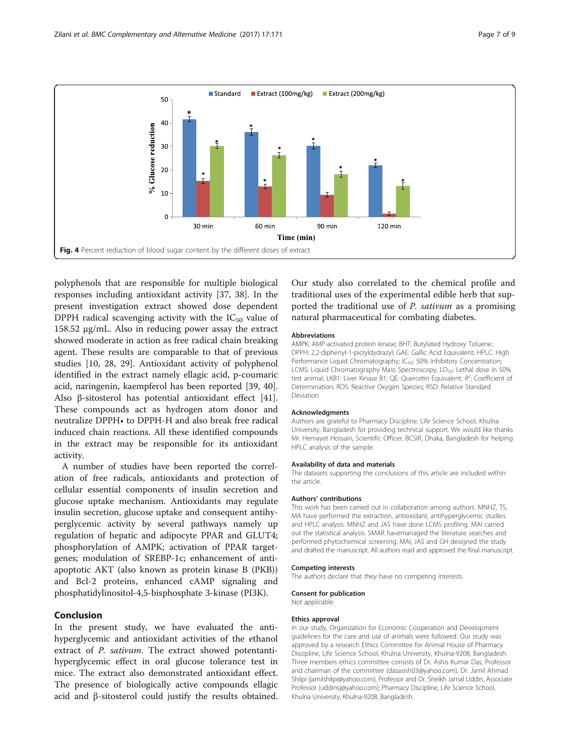<span id="page-6-0"></span>

polyphenols that are responsible for multiple biological responses including antioxidant activity [\[37](#page-7-0), [38](#page-7-0)]. In the present investigation extract showed dose dependent DPPH radical scavenging activity with the  $IC_{50}$  value of 158.52 μg/mL. Also in reducing power assay the extract showed moderate in action as free radical chain breaking agent. These results are comparable to that of previous studies [[10, 28](#page-7-0), [29\]](#page-7-0). Antioxidant activity of polyphenol identified in the extract namely ellagic acid, p-coumaric acid, naringenin, kaempferol has been reported [[39, 40](#page-7-0)]. Also β-sitosterol has potential antioxidant effect [\[41](#page-7-0)]. These compounds act as hydrogen atom donor and neutralize DPPH• to DPPH-H and also break free radical induced chain reactions. All these identified compounds in the extract may be responsible for its antioxidant activity.

A number of studies have been reported the correlation of free radicals, antioxidants and protection of cellular essential components of insulin secretion and glucose uptake mechanism. Antioxidants may regulate insulin secretion, glucose uptake and consequent antihyperglycemic activity by several pathways namely up regulation of hepatic and adipocyte PPAR and GLUT4; phosphorylation of AMPK; activation of PPAR targetgenes; modulation of SREBP-1c; enhancement of antiapoptotic AKT (also known as protein kinase B (PKB)) and Bcl-2 proteins, enhanced cAMP signaling and phosphatidylinositol-4,5-bisphosphate 3-kinase (PI3K).

### Conclusion

In the present study, we have evaluated the antihyperglycemic and antioxidant activities of the ethanol extract of P. sativum. The extract showed potentantihyperglycemic effect in oral glucose tolerance test in mice. The extract also demonstrated antioxidant effect. The presence of biologically active compounds ellagic acid and β-sitosterol could justify the results obtained.

Our study also correlated to the chemical profile and traditional uses of the experimental edible herb that supported the traditional use of P. sativum as a promising natural pharmaceutical for combating diabetes.

#### Abbreviations

AMPK: AMP-activated protein kinase; BHT: Butylated Hydroxy Toluene; DPPH: 2,2-diphenyl-1-picryldydrazyl; GAE: Gallic Acid Equivalent; HPLC: High Performance Liquid Chromatography; IC<sub>50</sub>: 50% Inhibitory Concentration; LCMS: Liquid Chromatography Mass Spectroscopy; LD<sub>50</sub>: Lethal dose in 50% test animal; LKB1: Liver Kinase B1; QE: Quercetin Equivalent;  $R^2$ : Coefficient of Determination; ROS: Reactive Oxygen Species; RSD: Relative Standard Deviation

#### Acknowledgments

Authors are grateful to Pharmacy Discipline, Life Science School, Khulna University, Bangladesh for providing technical support. We would like thanks Mr. Hemayet Hossain, Scientific Officer, BCSIR, Dhaka, Bangladesh for helping HPLC analysis of the sample.

#### Availability of data and materials

The datasets supporting the conclusions of this article are included within the article.

#### Authors' contributions

This work has been carried out in collaboration among authors. MNHZ, TS, MA have performed the extraction, antioxidant, antihyperglycemic studies and HPLC analysis. MNHZ and JAS have done LCMS profiling. MAI carried out the statistical analysis. SMAR havemanaged the literature searches and performed phytochemical screening. MAI, JAS and GH designed the study and drafted the manuscript. All authors read and approved the final manuscript.

#### Competing interests

The authors declare that they have no competing interests.

#### Consent for publication

Not applicable.

#### Ethics approval

In our study, Organization for Economic Cooperation and Development guidelines for the care and use of animals were followed. Our study was approved by a research Ethics Committee for Animal House of Pharmacy Discipline, Life Science School, Khulna University, Khulna-9208, Bangladesh. Three members ethics committee consists of Dr. Ashis Kumar Das, Professor and chairman of the committee (dasasish03@yahoo.com), Dr. Jamil Ahmad Shilpi (jamilshilpi@yahoo.com), Professor and Dr. Sheikh Jamal Uddin, Associate Professor (uddinsj@yahoo.com); Pharmacy Discipline, Life Science School, Khulna University, Khulna-9208, Bangladesh.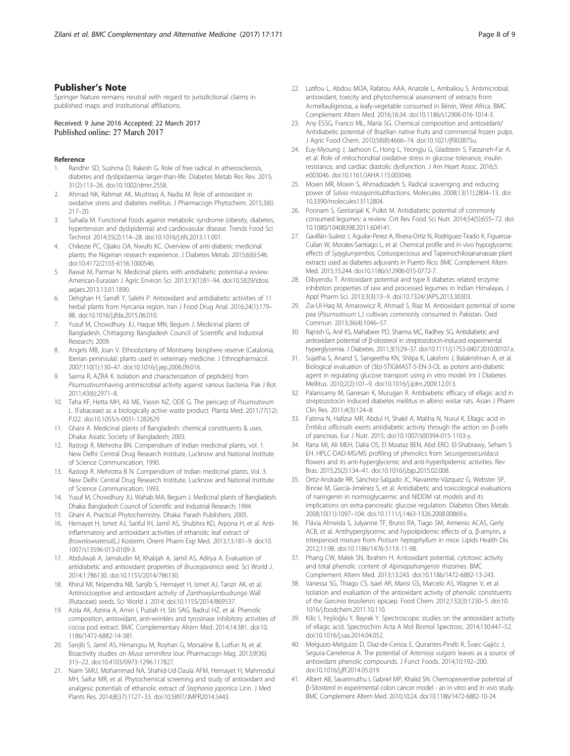### <span id="page-7-0"></span>Publisher's Note

Springer Nature remains neutral with regard to jurisdictional claims in published maps and institutional affiliations.

Received: 9 June 2016 Accepted: 22 March 2017 Published online: 27 March 2017

#### Reference

- Randhir SD, Sushma D, Rakesh G. Role of free radical in atherosclerosis, diabetes and dyslipidaemia: larger-than-life. Diabetes Metab Res Rev. 2015; 31(2):113–26. doi[:10.1002/dmrr.2558.](http://dx.doi.org/10.1002/dmrr.2558)
- 2. Ahmad NK, Rahmat AK, Mushtaq A, Nadia M. Role of antioxidant in oxidative stress and diabetes mellitus. J Pharmacogn Phytochem. 2015;3(6): 217–20.
- Suhaila M. Functional foods against metabolic syndrome (obesity, diabetes, hypertension and dyslipidemia) and cardiovasular disease. Trends Food Sci Technol. 2014;35(2):114–28. doi:[10.1016/j.tifs.2013.11.001.](http://dx.doi.org/10.1016/j.tifs.2013.11.001)
- 4. Chikezie PC, Ojiako OA, Nwufo KC. Overview of anti-diabetic medicinal plants: the Nigerian research experience. J Diabetes Metab. 2015;6(6):546. doi[:10.4172/2155-6156.1000546.](http://dx.doi.org/10.4172/2155-6156.1000546)
- Rawat M, Parmar N. Medicinal plants with antidiabetic potential-a review. American-Eurasian J Agric Environ Sci. 2013;13(1):81–94. doi[:10.5829/idosi.](http://dx.doi.org/10.5829/idosi.aejaes.2013.13.01.1890) [aejaes.2013.13.01.1890.](http://dx.doi.org/10.5829/idosi.aejaes.2013.13.01.1890)
- 6. Dehghan H, Sarrafi Y, Salehi P. Antioxidant and antidiabetic activities of 11 herbal plants from Hyrcania region. Iran J Food Drug Anal. 2016;24(1):179– 88. doi[:10.1016/j.jfda.2015.06.010.](http://dx.doi.org/10.1016/j.jfda.2015.06.010)
- 7. Yusuf M, Chowdhury JU, Haque MN, Begum J. Medicinal plants of Bangladesh. Chittagong: Bangladesh Council of Scientific and Industrial Research; 2009.
- Angels MB, Joan V. Ethnobotany of Montseny biosphere reserve (Catalonia, Iberian peninsula): plants used in veterinary medicine. J Ethnopharmacol. 2007;110(1):130–47. doi[:10.1016/j.jep.2006.09.016](http://dx.doi.org/10.1016/j.jep.2006.09.016).
- 9. Saima R, AZRA K. Isolation and characterization of peptide(s) from Pisumsativumhaving antimicrobial activity against various bacteria. Pak J Bot. 2011;43(6):2971–8.
- 10. Taha KF, Hetta MH, Ali ME, Yassin NZ, ODE G. The pericarp of Pisumsativum L. (Fabaceae) as a biologically active waste product. Planta Med. 2011;77(12): PJ22. doi[:10.1055/s-0031-1282629.](http://dx.doi.org/10.1055/s-0031-1282629)
- 11. Ghani A. Medicinal plants of Bangladesh: chemical constituents & uses. Dhaka: Asiatic Society of Bangladesh; 2003.
- 12. Rastogi R, Mehrotra BN. Compendium of Indian medicinal plants, vol. 1. New Delhi: Central Drug Research Institute, Lucknow and National Institute of Science Communication; 1990.
- 13. Rastogi R. Mehrotra B N. Compendium of Indian medicinal plants. Vol. 3. New Delhi: Central Drug Research Institute, Lucknow and National Institute of Science Communication; 1993.
- 14. Yusuf M, Chowdhury JU, Wahab MA, Begum J. Medicinal plants of Bangladesh. Dhaka: Bangladesh Council of Scientific and Industrial Research; 1994.
- 15. Ghani A. Practical Phytochemistry. Dhaka: Parash Publishers; 2005.
- 16. Hemayet H, Ismet AJ, Sariful IH, Jamil AS, Shubhra KD, Arpona H, et al. Antiinflammatory and antioxidant activities of ethanolic leaf extract of Brownlowiatersa(L.) Kosterm. Orient Pharm Exp Med. 2013;13:181–9. doi[:10.](http://dx.doi.org/10.1007/s13596-013-0109-3) [1007/s13596-013-0109-3.](http://dx.doi.org/10.1007/s13596-013-0109-3)
- 17. Abdulwali A, Jamaludin M, Khalijah A, Jamil AS, Aditya A. Evaluation of antidiabetic and antioxidant properties of Bruceajavanica seed. Sci World J. 2014;1:786130. doi[:10.1155/2014/786130.](http://dx.doi.org/10.1155/2014/786130)
- 18. Khirul MI, Nripendra NB, Sanjib S, Hemayet H, Ismet AJ, Tanzir AK, et al. Antinociceptive and antioxidant activity of Zanthoxylumbudrunga Wall (Rutaceae) seeds. Sci World J. 2014; doi:[10.1155/2014/869537](http://dx.doi.org/10.1155/2014/869537).
- 19. Azila AK, Azrina A, Amin I, Puziah H, Siti SAG, Badrul HZ, et al. Phenolic composition, antioxidant, anti-wrinkles and tyrosinase inhibitory activities of cocoa pod extract. BMC Complementary Altern Med. 2014;14:381. doi[:10.](http://dx.doi.org/10.1186/1472-6882-14-381) [1186/1472-6882-14-381](http://dx.doi.org/10.1186/1472-6882-14-381).
- 20. Sanjib S, Jamil AS, Himangsu M, Royhan G, Morsaline B, Lutfun N, et al. Bioactivity studies on Musa seminifera lour. Pharmacogn Mag. 2013;9(36): 315–22. doi:[10.4103/0973-1296.117827](http://dx.doi.org/10.4103/0973-1296.117827).
- 21. Naim SMU, Mohammad NA, Shahid-Ud-Daula AFM, Hemayet H, Mahmodul MH, Saifur MR, et al. Phytochemical screening and study of antioxidant and analgesic potentials of ethanolic extract of Stephania japonica Linn. J Med Plants Res. 2014;8(37):1127–33. doi[:10.5897/JMPR2014.5443.](http://dx.doi.org/10.5897/JMPR2014.5443)
- 22. Latifou L, Abdou MOA, Rafatou AAA, Anatole L, Ambaliou S. Antimicrobial, antioxidant, toxicity and phytochemical assessment of extracts from Acmellauliginosa, a leafy-vegetable consumed in Bénin, West Africa. BMC Complement Altern Med. 2016;16:34. doi:[10.1186/s12906-016-1014-3](http://dx.doi.org/10.1186/s12906-016-1014-3).
- 23. Any ESSG, Franco ML, Maria SG. Chemical composition and antioxidant/ Antidiabetic potential of Brazilian native fruits and commercial frozen pulps. J Agric Food Chem. 2010;58(8):4666–74. doi:[10.1021/jf903875u.](http://dx.doi.org/10.1021/jf903875u)
- 24. Euy-Myoung J, Jaehoon C, Hong L, Yeongju G, Gladstein S, Farzaneh-Far A, et al. Role of mitochondrial oxidative stress in glucose tolerance, insulin resistance, and cardiac diastolic dysfunction. J Am Heart Assoc. 2016;5: e003046. doi[:10.1161/JAHA.115.003046.](http://dx.doi.org/10.1161/JAHA.115.003046)
- 25. Moein MR, Moein S, Ahmadizadeh S. Radical scavenging and reducing power of Salvia mirzayaniisubfractions. Molecules. 2008;13(11):2804–13. doi: [10.3390/molecules13112804.](http://dx.doi.org/10.3390/molecules13112804)
- 26. Poonam S, Geetanjali K, Pulkit M. Antidiabetic potential of commonly consumed legumes: a review. Crit Rev Food Sci Nutr. 2014;54(5):655–72. doi: [10.1080/10408398.2011.604141.](http://dx.doi.org/10.1080/10408398.2011.604141)
- 27. Gavillán-Suárez J, Aguilar-Perez A, Rivera-Ortiz N, Rodríguez-Tirado K, Figueroa-Cuilan W, Morales-Santiago L, et al. Chemical profile and in vivo hypoglycemic effects of Syzygiumjambos, Costusspeciosus and Tapeinochilosananassae plant extracts used as diabetes adjuvants in Puerto Rico. BMC Complement Altern Med. 2015;15:244. doi[:10.1186/s12906-015-0772-7](http://dx.doi.org/10.1186/s12906-015-0772-7).
- 28. Dibyendu T. Antioxidant potential and type II diabetes related enzyme inhibition properties of raw and processed legumes in Indian Himalayas. J Appl Pharm Sci. 2013;3(3):13–9. doi:[10.7324/JAPS.2013.30303.](http://dx.doi.org/10.7324/JAPS.2013.30303)
- 29. Zia-Ul-Haq M, Amarowicz R, Ahmad S, Riaz M. Antioxidant potential of some pea (Pisumsativum L.) cultivars commonly consumed in Pakistan. Oxid Commun. 2013;36(4):1046–57.
- Rajnish G, Anil KS, Mahabeer PD, Sharma MC, Radhey SG. Antidiabetic and antioxidant potential of β-sitosterol in streptozotocin-induced experimental hyperglycemia. J Diabetes. 2011;3(1):29–37. doi:[10.1111/j.1753-0407.2010.00107.x.](http://dx.doi.org/10.1111/j.1753-0407.2010.00107.x)
- 31. Sujatha S, Anand S, Sangeetha KN, Shilpa K, Lakshmi J, Balakrishnan A, et al. Biological evaluation of (3b)-STIGMAST-5-EN-3-OL as potent anti-diabetic agent in regulating glucose transport using in vitro model. Int J Diabetes Mellitus. 2010;2(2):101–9. doi[:10.1016/j.ijdm.2009.12.013.](http://dx.doi.org/10.1016/j.ijdm.2009.12.013)
- 32. Palanisamy M, Ganesan K, Murugan R. Antibiabetic efficacy of ellagic acid in streptozotocin induced diabetes mellitus in albino wistar rats. Asian J Pharm Clin Res. 2011;4(3):124–8.
- 33. Fatima N, Hafizur MR, Abdul H, Shakil A, Maliha N, Nurul K. Ellagic acid in Emblica officinalis exerts antidiabetic activity through the action on β-cells of pancreas. Eur J Nutr. 2015; doi:[10.1007/s00394-015-1103-y.](http://dx.doi.org/10.1007/s00394-015-1103-y)
- 34. Rana MI, Ali MEH, Dalia OS, El Moataz BEN, Abd ERO. El-Shabrawy, Seham S EH. HPLC-DAD-MS/MS profiling of phenolics from Securigerasecuridaca flowers and its anti-hyperglycemic and anti-hyperlipidemic activities. Rev Bras. 2015;25(2):134–41. doi:[10.1016/j.bjp.2015.02.008.](http://dx.doi.org/10.1016/j.bjp.2015.02.008)
- 35. Ortiz-Andrade RR, Sánchez-Salgado JC, Navarrete-Vázquez G, Webster SP, Binnie M, García-Jiménez S, et al. Antidiabetic and toxicological evaluations of naringenin in normoglycaemic and NIDDM rat models and its implications on extra-pancreatic glucose regulation. Diabetes Obes Metab. 2008;10(11):1097–104. doi[:10.1111/j.1463-1326.2008.00869.x.](http://dx.doi.org/10.1111/j.1463-1326.2008.00869.x)
- 36. Flávia Almeida S, Julyanne TF, Bruno RA, Tiago SM, Armenio ACAS, Gerly ACB, et al. Antihyperglycemic and hypolipidemic effects of α, β-amyrin, a triterpenoid mixture from Protium heptaphyllum in mice. Lipids Health Dis. 2012;11:98. doi[:10.1186/1476-511X-11-98.](http://dx.doi.org/10.1186/1476-511X-11-98)
- 37. Phang CW, Malek SN, Ibrahim H. Antioxidant potential, cytotoxic activity and total phenolic content of Alpiniapahangensis rhizomes. BMC Complement Altern Med. 2013;13:243. doi[:10.1186/1472-6882-13-243](http://dx.doi.org/10.1186/1472-6882-13-243).
- 38. Vanessa SG, Thiago CS, Isael AR, Marisi GS, Marcelo AS, Wagner V, et al. Isolation and evaluation of the antioxidant activity of phenolic constituents of the Garcinia brasiliensis epicarp. Food Chem. 2012;132(3):1230–5. doi:[10.](http://dx.doi.org/10.1016/j.foodchem.2011.10.110) [1016/j.foodchem.2011.10.110](http://dx.doi.org/10.1016/j.foodchem.2011.10.110).
- 39. Kilic I, Yeşiloğlu Y, Bayrak Y. Spectroscopic studies on the antioxidant activity of ellagic acid. Spectrochim Acta A Mol Biomol Spectrosc. 2014;130:447–52. doi[:10.1016/j.saa.2014.04.052.](http://dx.doi.org/10.1016/j.saa.2014.04.052)
- 40. Melguizo-Melguizo D, Diaz-de-Cerioa E, Quirantes-Pinéb R, Švarc-Gajićc J, Segura-Carreteroa A. The potential of Artemisia vulgaris leaves as a source of antioxidant phenolic compounds. J Funct Foods. 2014;10:192–200. doi[:10.1016/j.jff.2014.05.019](http://dx.doi.org/10.1016/j.jff.2014.05.019).
- 41. Albert AB, Savarimuthu I, Gabriel MP, Khalid SN. Chemopreventive potential of β-Sitosterol in experimental colon cancer model - an in vitro and in vivo study. BMC Complement Altern Med. 2010;10:24. doi:[10.1186/1472-6882-10-24.](http://dx.doi.org/10.1186/1472-6882-10-24)